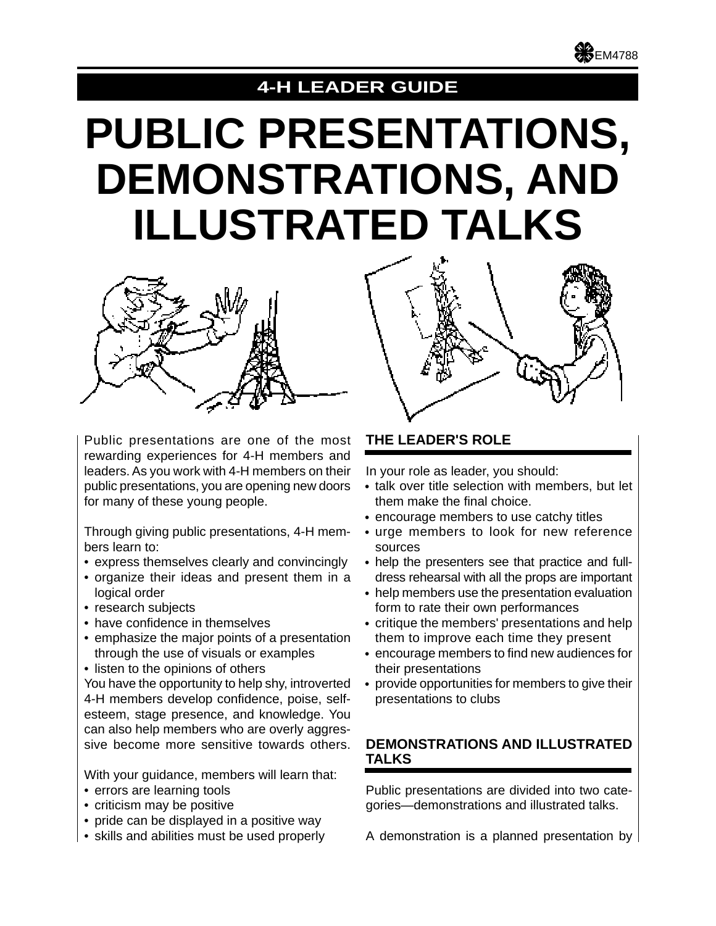

# **4-H LEADER GUIDE**

# **PUBLIC PRESENTATIONS, DEMONSTRATIONS, AND ILLUSTRATED TALKS**



Public presentations are one of the most rewarding experiences for 4-H members and leaders. As you work with 4-H members on their public presentations, you are opening new doors for many of these young people.

Through giving public presentations, 4-H members learn to:

- express themselves clearly and convincingly
- organize their ideas and present them in a logical order
- research subjects
- have confidence in themselves
- emphasize the major points of a presentation through the use of visuals or examples
- listen to the opinions of others

You have the opportunity to help shy, introverted 4-H members develop confidence, poise, selfesteem, stage presence, and knowledge. You can also help members who are overly aggressive become more sensitive towards others.

With your guidance, members will learn that:

- errors are learning tools
- criticism may be positive
- pride can be displayed in a positive way
- skills and abilities must be used properly

# **THE LEADER'S ROLE**

In your role as leader, you should:

- talk over title selection with members, but let them make the final choice.
- encourage members to use catchy titles
- urge members to look for new reference sources
- help the presenters see that practice and fulldress rehearsal with all the props are important
- help members use the presentation evaluation form to rate their own performances
- critique the members' presentations and help them to improve each time they present
- encourage members to find new audiences for their presentations
- provide opportunities for members to give their presentations to clubs

# **DEMONSTRATIONS AND ILLUSTRATED TALKS**

Public presentations are divided into two categories—demonstrations and illustrated talks.

A demonstration is a planned presentation by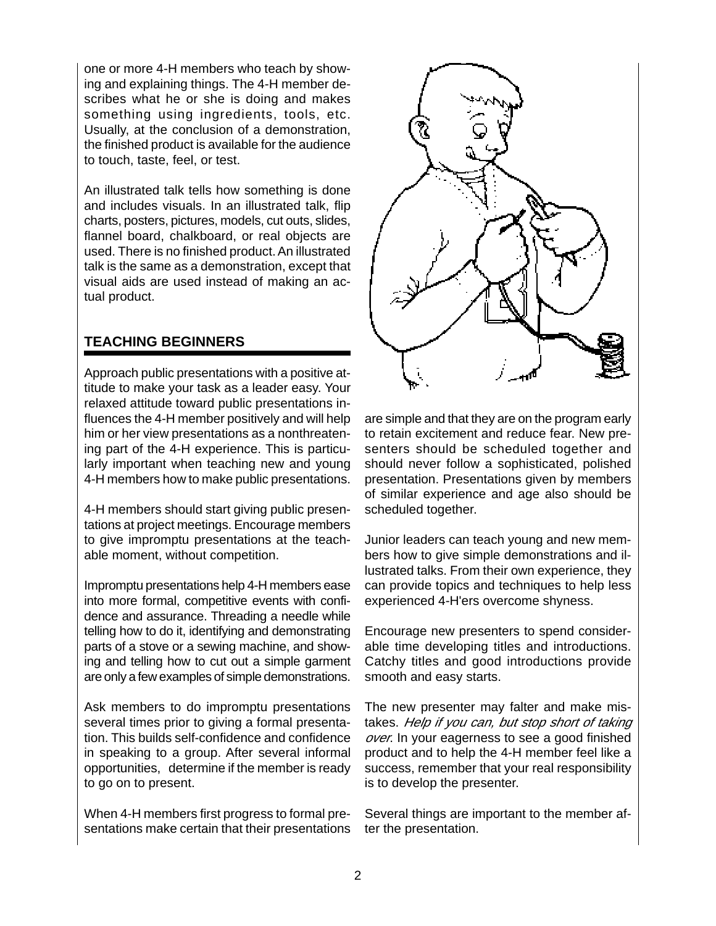one or more 4-H members who teach by showing and explaining things. The 4-H member describes what he or she is doing and makes something using ingredients, tools, etc. Usually, at the conclusion of a demonstration, the finished product is available for the audience to touch, taste, feel, or test.

An illustrated talk tells how something is done and includes visuals. In an illustrated talk, flip charts, posters, pictures, models, cut outs, slides, flannel board, chalkboard, or real objects are used. There is no finished product. An illustrated talk is the same as a demonstration, except that visual aids are used instead of making an actual product.

# **TEACHING BEGINNERS**

Approach public presentations with a positive attitude to make your task as a leader easy. Your relaxed attitude toward public presentations influences the 4-H member positively and will help him or her view presentations as a nonthreatening part of the 4-H experience. This is particularly important when teaching new and young 4-H members how to make public presentations.

4-H members should start giving public presentations at project meetings. Encourage members to give impromptu presentations at the teachable moment, without competition.

Impromptu presentations help 4-H members ease into more formal, competitive events with confidence and assurance. Threading a needle while telling how to do it, identifying and demonstrating parts of a stove or a sewing machine, and showing and telling how to cut out a simple garment are only a few examples of simple demonstrations.

Ask members to do impromptu presentations several times prior to giving a formal presentation. This builds self-confidence and confidence in speaking to a group. After several informal opportunities, determine if the member is ready to go on to present.

When 4-H members first progress to formal presentations make certain that their presentations



are simple and that they are on the program early to retain excitement and reduce fear. New presenters should be scheduled together and should never follow a sophisticated, polished presentation. Presentations given by members of similar experience and age also should be scheduled together.

Junior leaders can teach young and new members how to give simple demonstrations and illustrated talks. From their own experience, they can provide topics and techniques to help less experienced 4-H'ers overcome shyness.

Encourage new presenters to spend considerable time developing titles and introductions. Catchy titles and good introductions provide smooth and easy starts.

The new presenter may falter and make mistakes. Help if you can, but stop short of taking over. In your eagerness to see a good finished product and to help the 4-H member feel like a success, remember that your real responsibility is to develop the presenter.

Several things are important to the member after the presentation.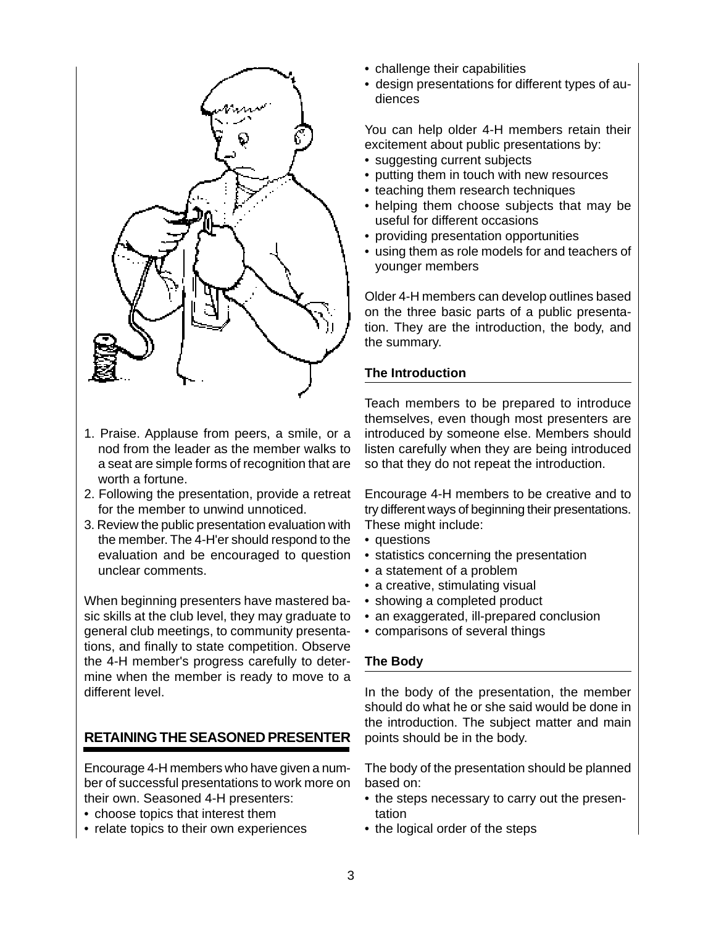

- 1. Praise. Applause from peers, a smile, or a nod from the leader as the member walks to a seat are simple forms of recognition that are worth a fortune.
- 2. Following the presentation, provide a retreat for the member to unwind unnoticed.
- 3. Review the public presentation evaluation with the member. The 4-H'er should respond to the evaluation and be encouraged to question unclear comments.

When beginning presenters have mastered basic skills at the club level, they may graduate to general club meetings, to community presentations, and finally to state competition. Observe the 4-H member's progress carefully to determine when the member is ready to move to a different level.

# **RETAINING THE SEASONED PRESENTER**

Encourage 4-H members who have given a number of successful presentations to work more on their own. Seasoned 4-H presenters:

- choose topics that interest them
- relate topics to their own experiences
- challenge their capabilities
- design presentations for different types of audiences

You can help older 4-H members retain their excitement about public presentations by:

- suggesting current subjects
- putting them in touch with new resources
- teaching them research techniques
- helping them choose subjects that may be useful for different occasions
- providing presentation opportunities
- using them as role models for and teachers of younger members

Older 4-H members can develop outlines based on the three basic parts of a public presentation. They are the introduction, the body, and the summary.

# **The Introduction**

Teach members to be prepared to introduce themselves, even though most presenters are introduced by someone else. Members should listen carefully when they are being introduced so that they do not repeat the introduction.

Encourage 4-H members to be creative and to try different ways of beginning their presentations. These might include:

- questions
- statistics concerning the presentation
- a statement of a problem
- a creative, stimulating visual
- showing a completed product
- an exaggerated, ill-prepared conclusion
- comparisons of several things

# **The Body**

In the body of the presentation, the member should do what he or she said would be done in the introduction. The subject matter and main points should be in the body.

The body of the presentation should be planned based on:

- the steps necessary to carry out the presentation
- the logical order of the steps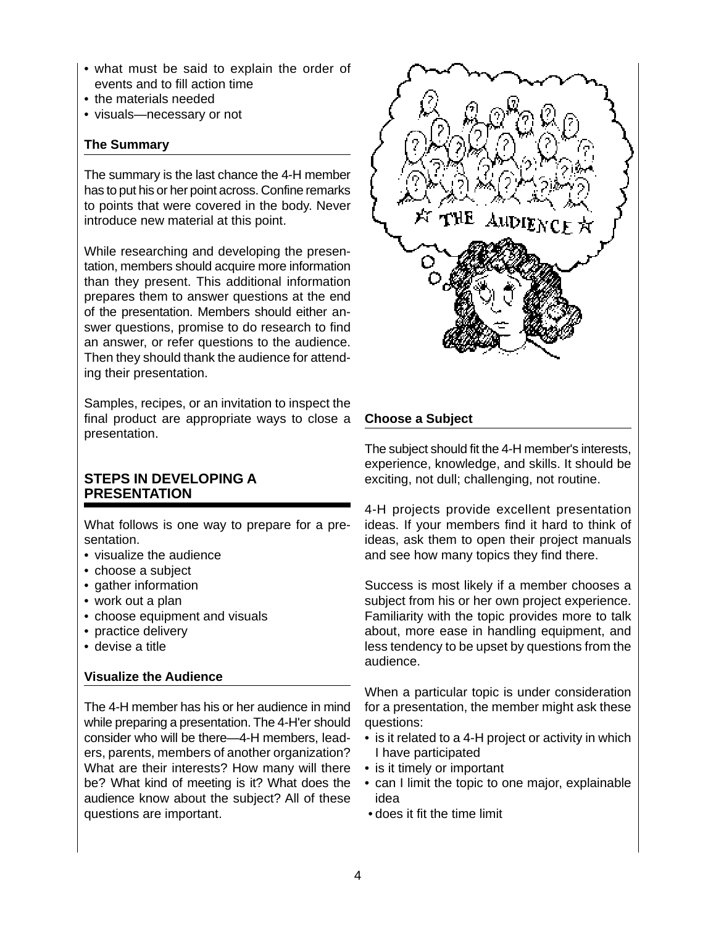- what must be said to explain the order of events and to fill action time
- the materials needed
- visuals—necessary or not

#### **The Summary**

The summary is the last chance the 4-H member has to put his or her point across. Confine remarks to points that were covered in the body. Never introduce new material at this point.

While researching and developing the presentation, members should acquire more information than they present. This additional information prepares them to answer questions at the end of the presentation. Members should either answer questions, promise to do research to find an answer, or refer questions to the audience. Then they should thank the audience for attending their presentation.

Samples, recipes, or an invitation to inspect the final product are appropriate ways to close a presentation.

# **STEPS IN DEVELOPING A PRESENTATION**

What follows is one way to prepare for a presentation.

- visualize the audience
- choose a subject
- gather information
- work out a plan
- choose equipment and visuals
- practice delivery
- devise a title

#### **Visualize the Audience**

The 4-H member has his or her audience in mind while preparing a presentation. The 4-H'er should consider who will be there—4-H members, leaders, parents, members of another organization? What are their interests? How many will there be? What kind of meeting is it? What does the audience know about the subject? All of these questions are important.



# **Choose a Subject**

The subject should fit the 4-H member's interests, experience, knowledge, and skills. It should be exciting, not dull; challenging, not routine.

4-H projects provide excellent presentation ideas. If your members find it hard to think of ideas, ask them to open their project manuals and see how many topics they find there.

Success is most likely if a member chooses a subject from his or her own project experience. Familiarity with the topic provides more to talk about, more ease in handling equipment, and less tendency to be upset by questions from the audience.

When a particular topic is under consideration for a presentation, the member might ask these questions:

- is it related to a 4-H project or activity in which I have participated
- is it timely or important
- can I limit the topic to one major, explainable idea
- does it fit the time limit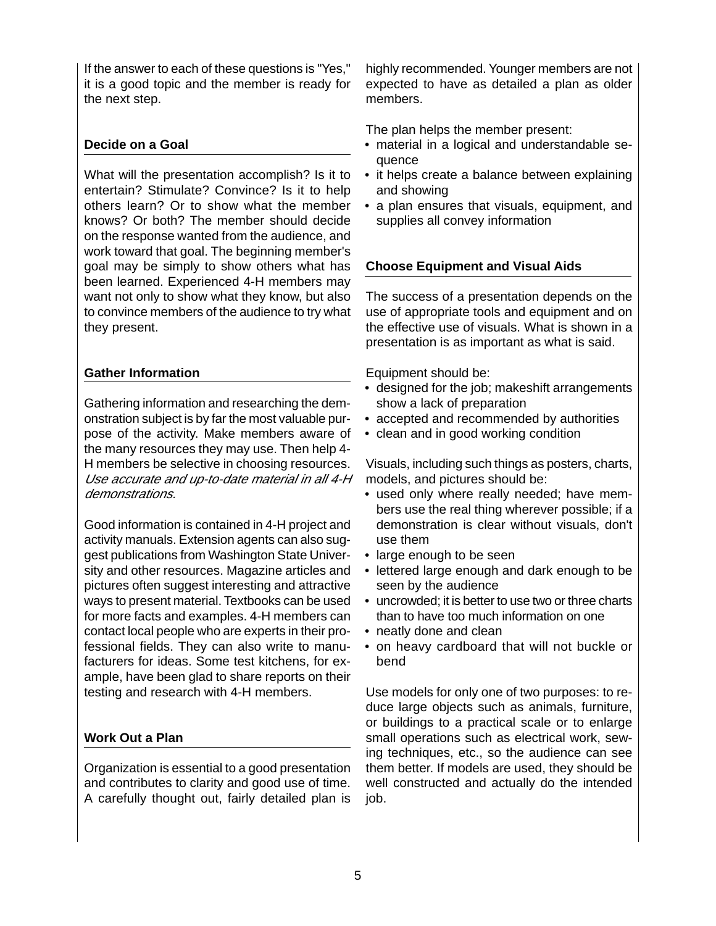If the answer to each of these questions is "Yes," it is a good topic and the member is ready for the next step.

# **Decide on a Goal**

What will the presentation accomplish? Is it to entertain? Stimulate? Convince? Is it to help others learn? Or to show what the member knows? Or both? The member should decide on the response wanted from the audience, and work toward that goal. The beginning member's goal may be simply to show others what has been learned. Experienced 4-H members may want not only to show what they know, but also to convince members of the audience to try what they present.

# **Gather Information**

Gathering information and researching the demonstration subject is by far the most valuable purpose of the activity. Make members aware of the many resources they may use. Then help 4- H members be selective in choosing resources. Use accurate and up-to-date material in all 4-H demonstrations.

Good information is contained in 4-H project and activity manuals. Extension agents can also suggest publications from Washington State University and other resources. Magazine articles and pictures often suggest interesting and attractive ways to present material. Textbooks can be used for more facts and examples. 4-H members can contact local people who are experts in their professional fields. They can also write to manufacturers for ideas. Some test kitchens, for example, have been glad to share reports on their testing and research with 4-H members.

# **Work Out a Plan**

Organization is essential to a good presentation and contributes to clarity and good use of time. A carefully thought out, fairly detailed plan is highly recommended. Younger members are not expected to have as detailed a plan as older members.

The plan helps the member present:

- material in a logical and understandable sequence
- it helps create a balance between explaining and showing
- a plan ensures that visuals, equipment, and supplies all convey information

#### **Choose Equipment and Visual Aids**

The success of a presentation depends on the use of appropriate tools and equipment and on the effective use of visuals. What is shown in a presentation is as important as what is said.

Equipment should be:

- designed for the job; makeshift arrangements show a lack of preparation
- accepted and recommended by authorities
- clean and in good working condition

Visuals, including such things as posters, charts, models, and pictures should be:

- used only where really needed; have members use the real thing wherever possible; if a demonstration is clear without visuals, don't use them
- large enough to be seen
- lettered large enough and dark enough to be seen by the audience
- uncrowded; it is better to use two or three charts than to have too much information on one
- neatly done and clean
- on heavy cardboard that will not buckle or bend

Use models for only one of two purposes: to reduce large objects such as animals, furniture, or buildings to a practical scale or to enlarge small operations such as electrical work, sewing techniques, etc., so the audience can see them better. If models are used, they should be well constructed and actually do the intended job.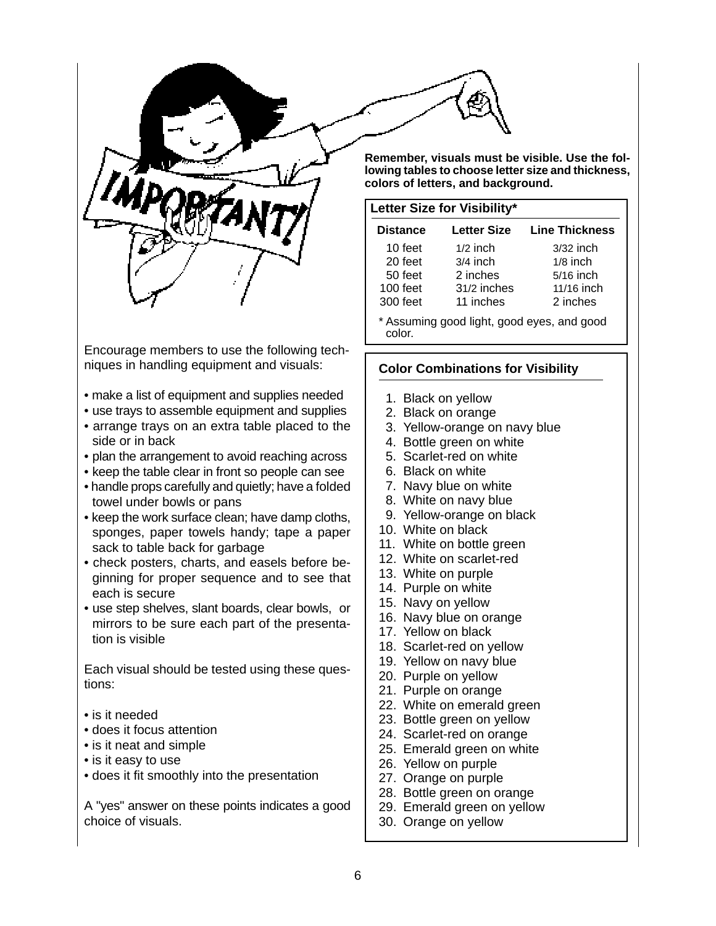

Encourage members to use the following techniques in handling equipment and visuals:

- make a list of equipment and supplies needed
- use trays to assemble equipment and supplies
- arrange trays on an extra table placed to the side or in back
- plan the arrangement to avoid reaching across
- keep the table clear in front so people can see
- handle props carefully and quietly; have a folded towel under bowls or pans
- keep the work surface clean; have damp cloths, sponges, paper towels handy; tape a paper sack to table back for garbage
- check posters, charts, and easels before beginning for proper sequence and to see that each is secure
- use step shelves, slant boards, clear bowls, or mirrors to be sure each part of the presentation is visible

Each visual should be tested using these questions:

- is it needed
- does it focus attention
- is it neat and simple
- is it easy to use
- does it fit smoothly into the presentation

A "yes" answer on these points indicates a good choice of visuals.

**Remember, visuals must be visible. Use the following tables to choose letter size and thickness, colors of letters, and background.**

#### **Letter Size for Visibility\***

| <b>Distance</b> | <b>Letter Size</b> | <b>Line Thickness</b> |
|-----------------|--------------------|-----------------------|
| 10 feet         | $1/2$ inch         | $3/32$ inch           |
| 20 feet         | $3/4$ inch         | $1/8$ inch            |
| 50 feet         | 2 inches           | 5/16 inch             |
| 100 feet        | 31/2 inches        | 11/16 inch            |
| 300 feet        | 11 inches          | 2 inches              |

\* Assuming good light, good eyes, and good color.

# **Color Combinations for Visibility**

- 1. Black on yellow
- 2. Black on orange
- 3. Yellow-orange on navy blue
- 4. Bottle green on white
- 5. Scarlet-red on white
- 6. Black on white
- 7. Navy blue on white
- 8. White on navy blue
- 9. Yellow-orange on black
- 10. White on black
- 11. White on bottle green
- 12. White on scarlet-red
- 13. White on purple
- 14. Purple on white
- 15. Navy on yellow
- 16. Navy blue on orange
- 17. Yellow on black
- 18. Scarlet-red on yellow
- 19. Yellow on navy blue
- 20. Purple on yellow
- 21. Purple on orange
- 22. White on emerald green
- 23. Bottle green on yellow
- 24. Scarlet-red on orange
- 25. Emerald green on white
- 26. Yellow on purple
- 27. Orange on purple
- 28. Bottle green on orange
- 29. Emerald green on yellow
- 30. Orange on yellow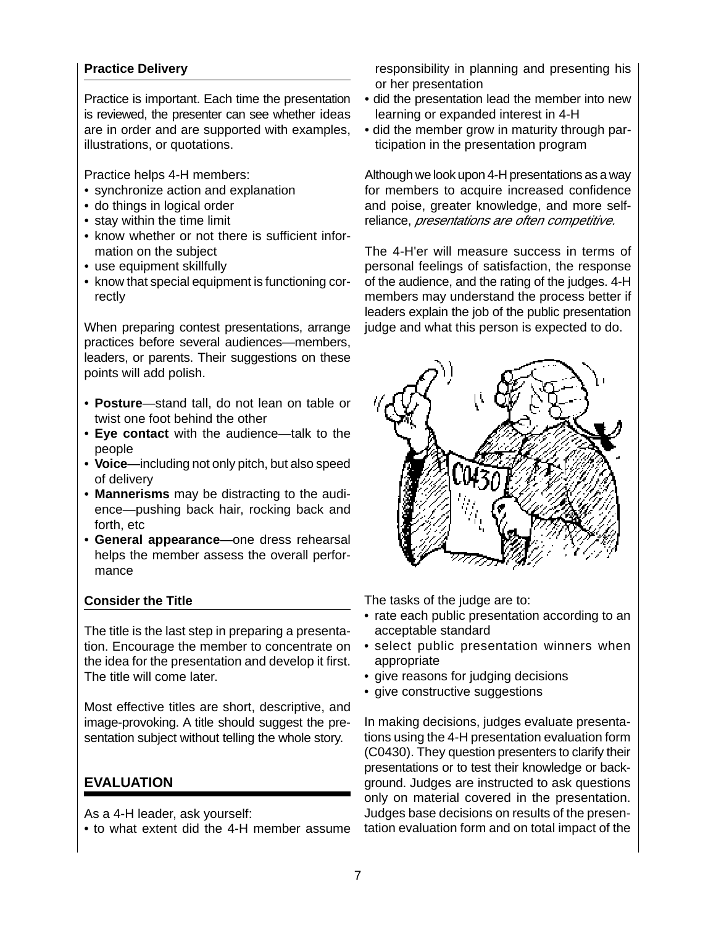#### **Practice Delivery**

Practice is important. Each time the presentation is reviewed, the presenter can see whether ideas are in order and are supported with examples, illustrations, or quotations.

Practice helps 4-H members:

- synchronize action and explanation
- do things in logical order
- stay within the time limit
- know whether or not there is sufficient information on the subject
- use equipment skillfully
- know that special equipment is functioning correctly

When preparing contest presentations, arrange practices before several audiences—members, leaders, or parents. Their suggestions on these points will add polish.

- **Posture**—stand tall, do not lean on table or twist one foot behind the other
- **Eye contact** with the audience—talk to the people
- **Voice**—including not only pitch, but also speed of delivery
- **Mannerisms** may be distracting to the audi-• ence—pushing back hair, rocking back and forth, etc
- **General appearance**—one dress rehearsal •helps the member assess the overall performance

#### **Consider the Title**

The title is the last step in preparing a presentation. Encourage the member to concentrate on the idea for the presentation and develop it first. The title will come later.

Most effective titles are short, descriptive, and image-provoking. A title should suggest the presentation subject without telling the whole story.

# **EVALUATION**

As a 4-H leader, ask yourself:

• to what extent did the 4-H member assume

responsibility in planning and presenting his or her presentation

- did the presentation lead the member into new learning or expanded interest in 4-H
- did the member grow in maturity through participation in the presentation program

Although we look upon 4-H presentations as a way for members to acquire increased confidence and poise, greater knowledge, and more selfreliance, *presentations are often competitive.* 

The 4-H'er will measure success in terms of personal feelings of satisfaction, the response of the audience, and the rating of the judges. 4-H members may understand the process better if leaders explain the job of the public presentation judge and what this person is expected to do.



The tasks of the judge are to:

- rate each public presentation according to an acceptable standard
- select public presentation winners when appropriate
- give reasons for judging decisions
- give constructive suggestions

In making decisions, judges evaluate presentations using the 4-H presentation evaluation form (C0430). They question presenters to clarify their presentations or to test their knowledge or background. Judges are instructed to ask questions only on material covered in the presentation. Judges base decisions on results of the presentation evaluation form and on total impact of the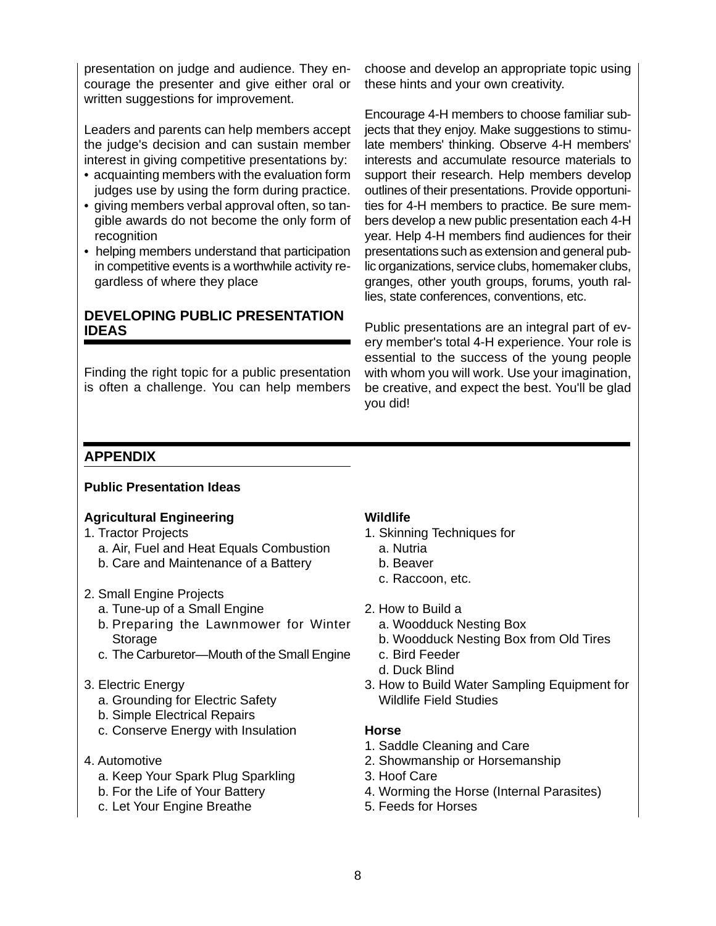presentation on judge and audience. They encourage the presenter and give either oral or written suggestions for improvement.

Leaders and parents can help members accept the judge's decision and can sustain member interest in giving competitive presentations by:

- acquainting members with the evaluation form judges use by using the form during practice.
- giving members verbal approval often, so tangible awards do not become the only form of recognition
- helping members understand that participation in competitive events is a worthwhile activity regardless of where they place

# **DEVELOPING PUBLIC PRESENTATION IDEAS**

Finding the right topic for a public presentation is often a challenge. You can help members choose and develop an appropriate topic using these hints and your own creativity.

Encourage 4-H members to choose familiar subjects that they enjoy. Make suggestions to stimulate members' thinking. Observe 4-H members' interests and accumulate resource materials to support their research. Help members develop outlines of their presentations. Provide opportunities for 4-H members to practice. Be sure members develop a new public presentation each 4-H year. Help 4-H members find audiences for their presentations such as extension and general public organizations, service clubs, homemaker clubs, granges, other youth groups, forums, youth rallies, state conferences, conventions, etc.

Public presentations are an integral part of every member's total 4-H experience. Your role is essential to the success of the young people with whom you will work. Use your imagination, be creative, and expect the best. You'll be glad you did!

# **APPENDIX**

#### **Public Presentation Ideas**

#### **Agricultural Engineering**

- 1. Tractor Projects
	- a. Air, Fuel and Heat Equals Combustion
	- b. Care and Maintenance of a Battery
- 2. Small Engine Projects
	- a. Tune-up of a Small Engine
	- b. Preparing the Lawnmower for Winter Storage
	- c. The Carburetor—Mouth of the Small Engine

#### 3. Electric Energy

- a. Grounding for Electric Safety
- b. Simple Electrical Repairs
- c. Conserve Energy with Insulation
- 4. Automotive
	- a. Keep Your Spark Plug Sparkling
	- b. For the Life of Your Battery
	- c. Let Your Engine Breathe

#### **Wildlife**

- 1. Skinning Techniques for
	- a. Nutria
	- b. Beaver
	- c. Raccoon, etc.
- 2. How to Build a
	- a. Woodduck Nesting Box
	- b. Woodduck Nesting Box from Old Tires
	- c. Bird Feeder
	- d. Duck Blind
- 3. How to Build Water Sampling Equipment for Wildlife Field Studies

#### **Horse**

- 1. Saddle Cleaning and Care
- 2. Showmanship or Horsemanship
- 3. Hoof Care
- 4. Worming the Horse (Internal Parasites)
- 5. Feeds for Horses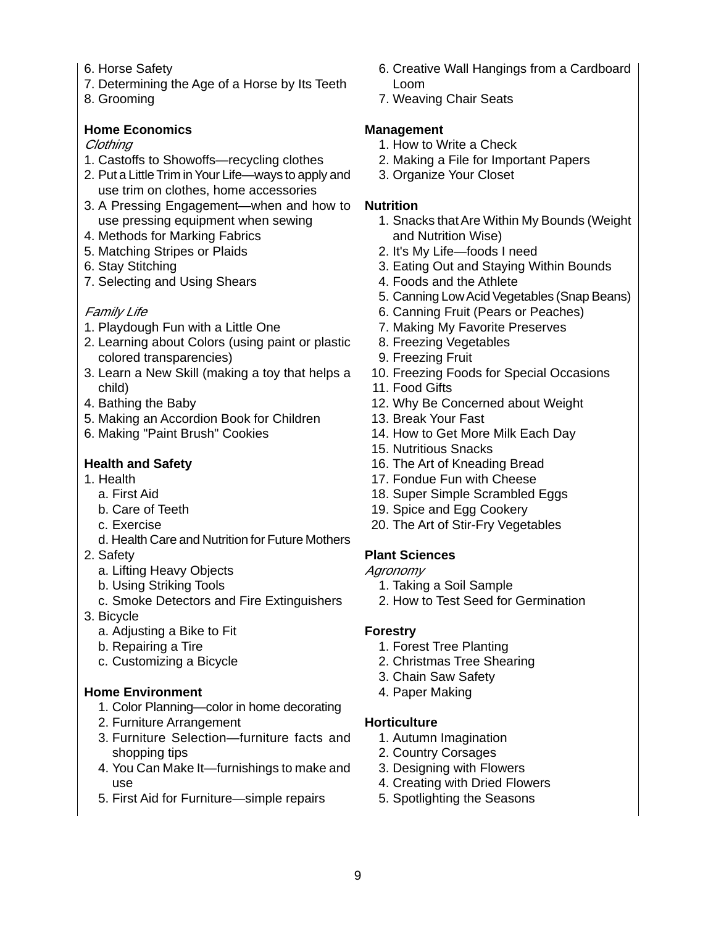- 6. Horse Safety
- 7. Determining the Age of a Horse by Its Teeth
- 8. Grooming

#### **Home Economics**

#### Clothing

- 1. Castoffs to Showoffs—recycling clothes
- 2. Put a Little Trim in Your Life—ways to apply and use trim on clothes, home accessories
- 3. A Pressing Engagement—when and how to use pressing equipment when sewing
- 4. Methods for Marking Fabrics
- 5. Matching Stripes or Plaids
- 6. Stay Stitching
- 7. Selecting and Using Shears

#### Family Life

- 1. Playdough Fun with a Little One
- 2. Learning about Colors (using paint or plastic colored transparencies)
- 3. Learn a New Skill (making a toy that helps a child)
- 4. Bathing the Baby
- 5. Making an Accordion Book for Children
- 6. Making "Paint Brush" Cookies

#### **Health and Safety**

- 1. Health
- a. First Aid
	- b. Care of Teeth
	- c. Exercise
- d. Health Care and Nutrition for Future Mothers
- 2. Safety
	- a. Lifting Heavy Objects
	- b. Using Striking Tools
	- c. Smoke Detectors and Fire Extinguishers
- 3. Bicycle
	- a. Adjusting a Bike to Fit
	- b. Repairing a Tire
	- c. Customizing a Bicycle

#### **Home Environment**

- 1. Color Planning—color in home decorating
- 2. Furniture Arrangement
- 3. Furniture Selection—furniture facts and shopping tips
- 4. You Can Make It—furnishings to make and use
- 5. First Aid for Furniture—simple repairs
- 6. Creative Wall Hangings from a Cardboard Loom
- 7. Weaving Chair Seats

#### **Management**

- 1. How to Write a Check
- 2. Making a File for Important Papers
- 3. Organize Your Closet

#### **Nutrition**

- 1. Snacks that Are Within My Bounds (Weight and Nutrition Wise)
- 2. It's My Life—foods I need
- 3. Eating Out and Staying Within Bounds
- 4. Foods and the Athlete
- 5. Canning Low Acid Vegetables (Snap Beans)
- 6. Canning Fruit (Pears or Peaches)
- 7. Making My Favorite Preserves
- 8. Freezing Vegetables
- 9. Freezing Fruit
- 10. Freezing Foods for Special Occasions
- 11. Food Gifts
- 12. Why Be Concerned about Weight
- 13. Break Your Fast
- 14. How to Get More Milk Each Day
- 15. Nutritious Snacks
- 16. The Art of Kneading Bread
- 17. Fondue Fun with Cheese
- 18. Super Simple Scrambled Eggs
- 19. Spice and Egg Cookery
- 20. The Art of Stir-Fry Vegetables

#### **Plant Sciences**

- Agronomy
	- 1. Taking a Soil Sample
	- 2. How to Test Seed for Germination

#### **Forestry**

- 1. Forest Tree Planting
- 2. Christmas Tree Shearing
- 3. Chain Saw Safety
- 4. Paper Making

#### **Horticulture**

- 1. Autumn Imagination
- 2. Country Corsages
- 3. Designing with Flowers
- 4. Creating with Dried Flowers
- 5. Spotlighting the Seasons